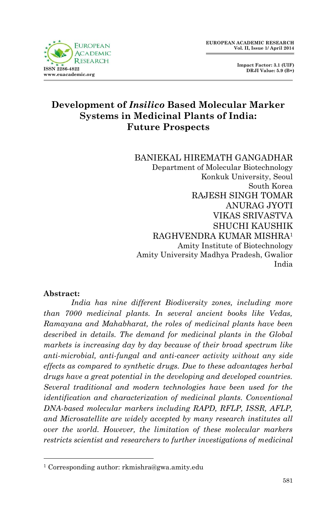

 **Impact Factor: 3.1 (UIF) DRJI Value: 5.9 (B+)**

# **Development of** *Insilico* **Based Molecular Marker Systems in Medicinal Plants of India: Future Prospects**

BANIEKAL HIREMATH GANGADHAR Department of Molecular Biotechnology Konkuk University, Seoul South Korea RAJESH SINGH TOMAR ANURAG JYOTI VIKAS SRIVASTVA SHUCHI KAUSHIK RAGHVENDRA KUMAR MISHRA<sup>1</sup> Amity Institute of Biotechnology Amity University Madhya Pradesh, Gwalior India

#### **Abstract:**

1

*India has nine different Biodiversity zones, including more than 7000 medicinal plants. In several ancient books like Vedas, Ramayana and Mahabharat, the roles of medicinal plants have been described in details. The demand for medicinal plants in the Global markets is increasing day by day because of their broad spectrum like anti-microbial, anti-fungal and anti-cancer activity without any side effects as compared to synthetic drugs. Due to these advantages herbal drugs have a great potential in the developing and developed countries. Several traditional and modern technologies have been used for the identification and characterization of medicinal plants. Conventional DNA-based molecular markers including RAPD, RFLP, ISSR, AFLP, and Microsatellite are widely accepted by many research institutes all over the world. However, the limitation of these molecular markers restricts scientist and researchers to further investigations of medicinal* 

<sup>1</sup> Corresponding author: rkmishra@gwa.amity.edu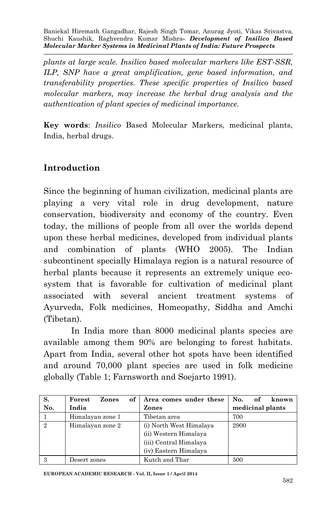*plants at large scale. Insilico based molecular markers like EST-SSR, ILP, SNP have a great amplification, gene based information, and transferability properties. These specific properties of Insilico based molecular markers, may increase the herbal drug analysis and the authentication of plant species of medicinal importance.* 

**Key words**: *Insilico* Based Molecular Markers, medicinal plants, India, herbal drugs.

### **Introduction**

Since the beginning of human civilization, medicinal plants are playing a very vital role in drug development, nature conservation, biodiversity and economy of the country. Even today, the millions of people from all over the worlds depend upon these herbal medicines, developed from individual plants and combination of plants (WHO 2005). The Indian subcontinent specially Himalaya region is a natural resource of herbal plants because it represents an extremely unique ecosystem that is favorable for cultivation of medicinal plant associated with several ancient treatment systems of Ayurveda, Folk medicines, Homeopathy, Siddha and Amchi (Tibetan).

In India more than 8000 medicinal plants species are available among them 90% are belonging to forest habitats. Apart from India, several other hot spots have been identified and around 70,000 plant species are used in folk medicine globally (Table 1; Farnsworth and Soejarto 1991).

| S.             | Forest<br>оf<br>Zones | Area comes under these  | No.<br>known     |
|----------------|-----------------------|-------------------------|------------------|
| No.            | India                 | Zones                   | medicinal plants |
|                | Himalayan zone 1      | Tibetan area            | 700              |
| $\mathfrak{D}$ | Himalayan zone 2      | (i) North West Himalaya | 2900             |
|                |                       | (ii) Western Himalaya   |                  |
|                |                       | (iii) Central Himalaya  |                  |
|                |                       | (iv) Eastern Himalaya   |                  |
| 3              | Desert zones          | Kutch and Thar          | 500              |

**EUROPEAN ACADEMIC RESEARCH - Vol. II, Issue 1 / April 2014**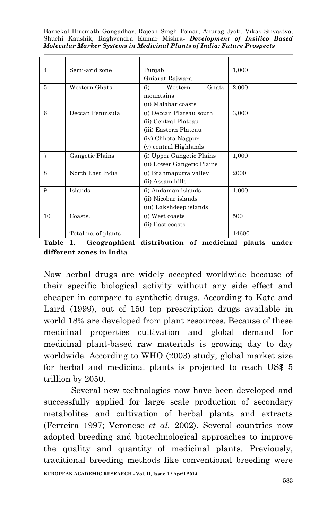| $\overline{4}$ | Semi-arid zone      | Punjab                     | 1,000 |
|----------------|---------------------|----------------------------|-------|
|                |                     | Guiarat-Rajwara            |       |
| 5              | Western Ghats       | Western<br>Ghats<br>(i)    | 2,000 |
|                |                     | mountains                  |       |
|                |                     | (ii) Malabar coasts        |       |
| 6              | Deccan Peninsula    | (i) Deccan Plateau south   | 3,000 |
|                |                     | (ii) Central Plateau       |       |
|                |                     | (iii) Eastern Plateau      |       |
|                |                     | (iv) Chhota Nagpur         |       |
|                |                     | (v) central Highlands      |       |
| 7              | Gangetic Plains     | (i) Upper Gangetic Plains  | 1,000 |
|                |                     | (ii) Lower Gangetic Plains |       |
| 8              | North East India    | (i) Brahmaputra valley     | 2000  |
|                |                     | (ii) Assam hills           |       |
| 9              | Islands             | (i) Andaman islands        | 1,000 |
|                |                     | (ii) Nicobar islands       |       |
|                |                     | (iii) Lakshdeep islands    |       |
| 10             | Coasts.             | (i) West coasts            | 500   |
|                |                     | (ii) East coasts           |       |
|                | Total no. of plants |                            | 14600 |

**Table 1. Geographical distribution of medicinal plants under different zones in India**

Now herbal drugs are widely accepted worldwide because of their specific biological activity without any side effect and cheaper in compare to synthetic drugs. According to Kate and Laird (1999), out of 150 top prescription drugs available in world 18% are developed from plant resources. Because of these medicinal properties cultivation and global demand for medicinal plant-based raw materials is growing day to day worldwide. According to WHO (2003) study, global market size for herbal and medicinal plants is projected to reach US\$ 5 trillion by 2050.

Several new technologies now have been developed and successfully applied for large scale production of secondary metabolites and cultivation of herbal plants and extracts (Ferreira 1997; Veronese *et al.* 2002). Several countries now adopted breeding and biotechnological approaches to improve the quality and quantity of medicinal plants. Previously, traditional breeding methods like conventional breeding were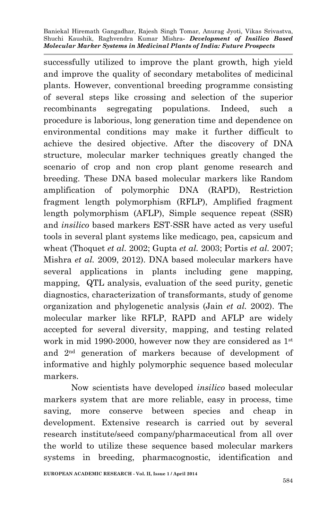successfully utilized to improve the plant growth, high yield and improve the quality of secondary metabolites of medicinal plants. However, conventional breeding programme consisting of several steps like crossing and selection of the superior recombinants segregating populations. Indeed, such a procedure is laborious, long generation time and dependence on environmental conditions may make it further difficult to achieve the desired objective. After the discovery of DNA structure, molecular marker techniques greatly changed the scenario of crop and non crop plant genome research and breeding. These DNA based molecular markers like Random amplification of polymorphic DNA (RAPD), Restriction fragment length polymorphism (RFLP), Amplified fragment length polymorphism (AFLP), Simple sequence repeat (SSR) and *insilico* based markers EST-SSR have acted as very useful tools in several plant systems like medicago, pea, capsicum and wheat (Thoquet *et al.* 2002; Gupta *et al.* 2003; Portis *et al.* 2007; Mishra *et al.* 2009, 2012). DNA based molecular markers have several applications in plants including gene mapping, mapping, QTL analysis, evaluation of the seed purity, genetic diagnostics, characterization of transformants, study of genome organization and phylogenetic analysis (Jain *et al.* 2002). The molecular marker like RFLP, RAPD and AFLP are widely accepted for several diversity, mapping, and testing related work in mid 1990-2000, however now they are considered as 1st and 2nd generation of markers because of development of informative and highly polymorphic sequence based molecular markers.

Now scientists have developed *insilico* based molecular markers system that are more reliable, easy in process, time saving, more conserve between species and cheap in development. Extensive research is carried out by several research institute/seed company/pharmaceutical from all over the world to utilize these sequence based molecular markers systems in breeding, pharmacognostic, identification and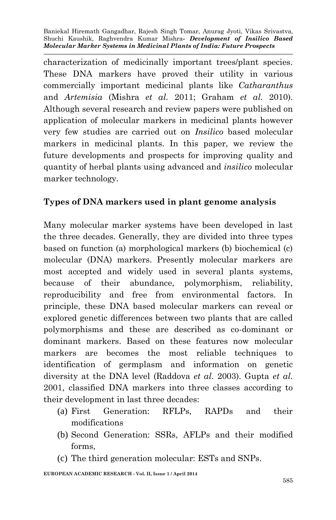characterization of medicinally important trees/plant species. These DNA markers have proved their utility in various commercially important medicinal plants like *Catharanthus* and *Artemisia* (Mishra *et al.* 2011; Graham *et al.* 2010). Although several research and review papers were published on application of molecular markers in medicinal plants however very few studies are carried out on *Insilico* based molecular markers in medicinal plants. In this paper, we review the future developments and prospects for improving quality and quantity of herbal plants using advanced and *insilico* molecular marker technology.

# **Types of DNA markers used in plant genome analysis**

Many molecular marker systems have been developed in last the three decades. Generally, they are divided into three types based on function (a) morphological markers (b) biochemical (c) molecular (DNA) markers. Presently molecular markers are most accepted and widely used in several plants systems, because of their abundance, polymorphism, reliability, reproducibility and free from environmental factors. In principle, these DNA based molecular markers can reveal or explored genetic differences between two plants that are called polymorphisms and these are described as co-dominant or dominant markers. Based on these features now molecular markers are becomes the most reliable techniques to identification of germplasm and information on genetic diversity at the DNA level (Raddova *et al*. 2003). Gupta *et al.* 2001, classified DNA markers into three classes according to their development in last three decades:

- (a) First Generation: RFLPs, RAPDs and their modifications
- (b) Second Generation: SSRs, AFLPs and their modified forms,
- (c) The third generation molecular: ESTs and SNPs.

**EUROPEAN ACADEMIC RESEARCH - Vol. II, Issue 1 / April 2014**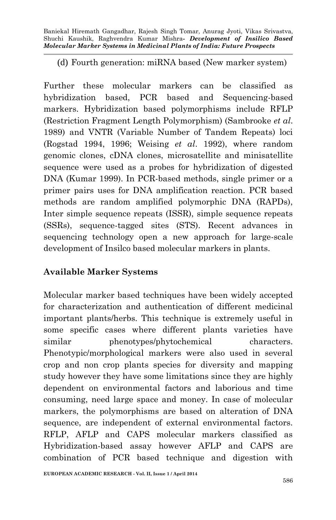(d) Fourth generation: miRNA based (New marker system)

Further these molecular markers can be classified as hybridization based, PCR based and Sequencing-based markers. Hybridization based polymorphisms include RFLP (Restriction Fragment Length Polymorphism) (Sambrooke *et al*. 1989) and VNTR (Variable Number of Tandem Repeats) loci (Rogstad 1994, 1996; Weising *et al*. 1992), where random genomic clones, cDNA clones, microsatellite and minisatellite sequence were used as a probes for hybridization of digested DNA (Kumar 1999). In PCR-based methods, single primer or a primer pairs uses for DNA amplification reaction. PCR based methods are random amplified polymorphic DNA (RAPDs), Inter simple sequence repeats (ISSR), simple sequence repeats (SSRs), sequence-tagged sites (STS). Recent advances in sequencing technology open a new approach for large-scale development of Insilco based molecular markers in plants.

# **Available Marker Systems**

Molecular marker based techniques have been widely accepted for characterization and authentication of different medicinal important plants/herbs. This technique is extremely useful in some specific cases where different plants varieties have similar phenotypes/phytochemical characters. Phenotypic/morphological markers were also used in several crop and non crop plants species for diversity and mapping study however they have some limitations since they are highly dependent on environmental factors and laborious and time consuming, need large space and money. In case of molecular markers, the polymorphisms are based on alteration of DNA sequence, are independent of external environmental factors. RFLP, AFLP and CAPS molecular markers classified as Hybridization-based assay however AFLP and CAPS are combination of PCR based technique and digestion with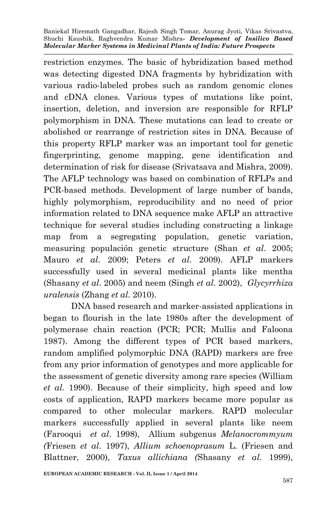restriction enzymes. The basic of hybridization based method was detecting digested DNA fragments by hybridization with various radio-labeled probes such as random genomic clones and cDNA clones. Various types of mutations like point, insertion, deletion, and inversion are responsible for RFLP polymorphism in DNA. These mutations can lead to create or abolished or rearrange of restriction sites in DNA. Because of this property RFLP marker was an important tool for genetic fingerprinting, genome mapping, gene identification and determination of risk for disease (Srivatsava and Mishra, 2009). The AFLP technology was based on combination of RFLPs and PCR-based methods. Development of large number of bands, highly polymorphism, reproducibility and no need of prior information related to DNA sequence make AFLP an attractive technique for several studies including constructing a linkage map from a segregating population, genetic variation, measuring populación genetic structure (Shan *et al*. 2005; Mauro *et al*. 2009; Peters *et al*. 2009). AFLP markers successfully used in several medicinal plants like mentha (Shasany *et al*. 2005) and neem (Singh *et al*. 2002), *Glycyrrhiza uralensis* (Zhang *et al*. 2010).

DNA based research and marker-assisted applications in began to flourish in the late 1980s after the development of polymerase chain reaction (PCR; PCR; Mullis and Faloona 1987). Among the different types of PCR based markers, random amplified polymorphic DNA (RAPD) markers are free from any prior information of genotypes and more applicable for the assessment of genetic diversity among rare species (William *et al.* 1990). Because of their simplicity, high speed and low costs of application, RAPD markers became more popular as compared to other molecular markers. RAPD molecular markers successfully applied in several plants like neem (Farooqui *et al*. 1998), Allium subgenus *Melanocrommyum (*Friesen *et al*. 1997), *Allium schoenoprasum* L. (Friesen and Blattner, 2000), *Taxus allichiana (*Shasany *et al*. 1999),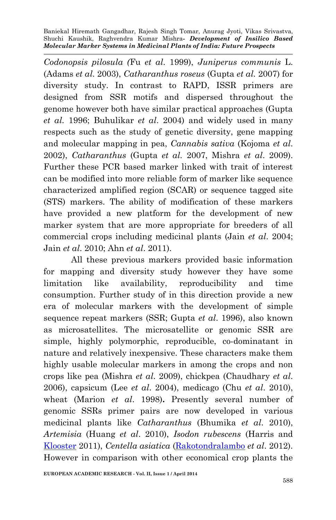*Codonopsis pilosula (*Fu *et al*. 1999), *Juniperus communis* L. (Adams *et al*. 2003), *Catharanthus roseus* (Gupta *et al.* 2007) for diversity study. In contrast to RAPD, ISSR primers are designed from SSR motifs and dispersed throughout the genome however both have similar practical approaches (Gupta *et al.* 1996; Buhulikar *et al*. 2004) and widely used in many respects such as the study of genetic diversity, gene mapping and molecular mapping in pea, *Cannabis sativa* (Kojoma *et al*. 2002), *Catharanthus* (Gupta *et al.* 2007, Mishra *et al*. 2009). Further these PCR based marker linked with trait of interest can be modified into more reliable form of marker like sequence characterized amplified region (SCAR) or sequence tagged site (STS) markers. The ability of modification of these markers have provided a new platform for the development of new marker system that are more appropriate for breeders of all commercial crops including medicinal plants (Jain *et al*. 2004; Jain *et al*. 2010; Ahn *et al*. 2011).

All these previous markers provided basic information for mapping and diversity study however they have some limitation like availability, reproducibility and time consumption. Further study of in this direction provide a new era of molecular markers with the development of simple sequence repeat markers (SSR; Gupta *et al*. 1996), also known as microsatellites. The microsatellite or genomic SSR are simple, highly polymorphic, reproducible, co-dominatant in nature and relatively inexpensive. These characters make them highly usable molecular markers in among the crops and non crops like pea (Mishra *et al*. 2009), chickpea (Chaudhary *et al*. 2006), capsicum (Lee *et al*. 2004), medicago (Chu *et al*. 2010), wheat (Marion *et al*. 1998)**.** Presently several number of genomic SSRs primer pairs are now developed in various medicinal plants like *Catharanthus* (Bhumika *et al*. 2010), *Artemisia* (Huang *et al*. 2010), *Isodon rubescens* (Harris and [Klooster](http://www.ncbi.nlm.nih.gov/pubmed?term=%22Klooster%20MR%22%5BAuthor%5D) 2011), *Centella asiatica* [\(Rakotondralambo](http://www.ncbi.nlm.nih.gov/pubmed?term=%22Rakotondralambo%20SO%22%5BAuthor%5D) *et al*. 2012). However in comparison with other economical crop plants the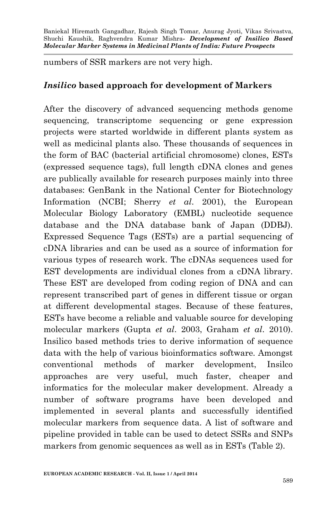numbers of SSR markers are not very high.

#### *Insilico* **based approach for development of Markers**

After the discovery of advanced sequencing methods genome sequencing, transcriptome sequencing or gene expression projects were started worldwide in different plants system as well as medicinal plants also. These thousands of sequences in the form of BAC (bacterial artificial chromosome) clones, ESTs (expressed sequence tags), full length cDNA clones and genes are publically available for research purposes mainly into three databases: GenBank in the National Center for Biotechnology Information (NCBI; Sherry *et al*. 2001), the European Molecular Biology Laboratory (EMBL) nucleotide sequence database and the DNA database bank of Japan (DDBJ). Expressed Sequence Tags (ESTs) are a partial sequencing of cDNA libraries and can be used as a source of information for various types of research work. The cDNAs sequences used for EST developments are individual clones from a cDNA library. These EST are developed from coding region of DNA and can represent transcribed part of genes in different tissue or organ at different developmental stages. Because of these features, ESTs have become a reliable and valuable source for developing molecular markers (Gupta *et al*. 2003, Graham *et al*. 2010). Insilico based methods tries to derive information of sequence data with the help of various bioinformatics software. Amongst conventional methods of marker development, Insilco approaches are very useful, much faster, cheaper and informatics for the molecular maker development. Already a number of software programs have been developed and implemented in several plants and successfully identified molecular markers from sequence data. A list of software and pipeline provided in table can be used to detect SSRs and SNPs markers from genomic sequences as well as in ESTs (Table 2).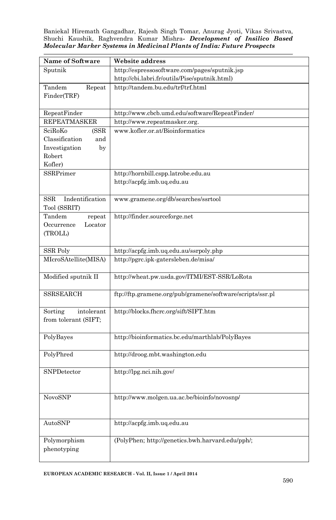| Name of Software                       | Website address                                                                |
|----------------------------------------|--------------------------------------------------------------------------------|
| Sputnik                                | http://espressosoftware.com/pages/sputnik.jsp                                  |
|                                        | http://cbi.labri.fr/outils/Pise/sputnik.html)                                  |
| Tandem<br>Repeat                       | http://tandem.bu.edu/trf/trf.html                                              |
| Finder(TRF)                            |                                                                                |
|                                        |                                                                                |
| RepeatFinder                           | http://www.cbcb.umd.edu/software/RepeatFinder/                                 |
| <b>REPEATMASKER</b>                    | http://www.repeatmasker.org.                                                   |
| SciRoKo<br>(SSR                        | www.kofler.or.at/Bioinformatics                                                |
| Classification<br>and<br>Investigation |                                                                                |
| by<br>Robert                           |                                                                                |
| Kofler)                                |                                                                                |
| SSRPrimer                              | http://hornbill.cspp.latrobe.edu.au                                            |
|                                        | http://acpfg.imb.uq.edu.au                                                     |
|                                        |                                                                                |
| Indentification<br>$_{\rm SSR}$        | www.gramene.org/db/searches/ssrtool                                            |
| Tool (SSRIT)                           |                                                                                |
| Tandem<br>repeat                       | http://finder.sourceforge.net                                                  |
| Occurrence<br>Locator                  |                                                                                |
| (TROLL)                                |                                                                                |
| SSR Poly                               |                                                                                |
| MIcroSAtellite(MISA)                   | http://acpfg.imb.uq.edu.au/ssrpoly.php<br>http://pgrc.ipk-gatersleben.de/misa/ |
|                                        |                                                                                |
| Modified sputnik II                    | http://wheat.pw.usda.gov/ITMI/EST-SSR/LoRota                                   |
|                                        |                                                                                |
| <b>SSRSEARCH</b>                       | ftp://ftp.gramene.org/pub/gramene/software/scripts/ssr.pl                      |
|                                        |                                                                                |
| Sorting<br>intolerant                  | http://blocks.fhcrc.org/sift/SIFT.htm                                          |
| from tolerant (SIFT;                   |                                                                                |
| PolyBayes                              | http://bioinformatics.bc.edu/marthlab/PolyBayes                                |
|                                        |                                                                                |
| PolyPhred                              | http://droog.mbt.washington.edu                                                |
|                                        |                                                                                |
| SNPDetector                            | http://lpg.nci.nih.gov/                                                        |
|                                        |                                                                                |
|                                        |                                                                                |
| NovoSNP                                | http://www.molgen.ua.ac.be/bioinfo/novosnp/                                    |
|                                        |                                                                                |
| AutoSNP                                | http://acpfg.imb.uq.edu.au                                                     |
|                                        |                                                                                |
| Polymorphism                           | (PolyPhen; http://genetics.bwh.harvard.edu/pph/;                               |
| phenotyping                            |                                                                                |
|                                        |                                                                                |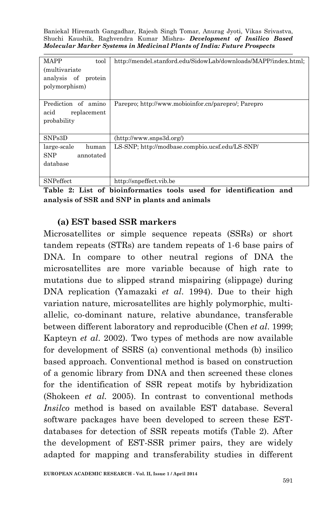| MAPP<br>tool<br><i>(multivariate)</i><br>analysis of protein<br>polymorphism) | http://mendel.stanford.edu/SidowLab/downloads/MAPP/index.html; |
|-------------------------------------------------------------------------------|----------------------------------------------------------------|
| Prediction of amino<br>acid<br>replacement<br>probability                     | Parepro: http://www.mobioinfor.cn/parepro/; Parepro            |
| SNPs <sub>3</sub> D                                                           | (http://www.snps3d.org/)                                       |
| large-scale<br>human<br>SNP<br>annotated<br>database                          | LS-SNP; http://modbase.compbio.ucsf.edu/LS-SNP/                |
| <b>SNP</b> effect                                                             | http://snpeffect.vib.be                                        |

**Table 2: List of bioinformatics tools used for identification and analysis of SSR and SNP in plants and animals**

#### **(a) EST based SSR markers**

Microsatellites or simple sequence repeats (SSRs) or short tandem repeats (STRs) are tandem repeats of 1-6 base pairs of DNA. In compare to other neutral regions of DNA the microsatellites are more variable because of high rate to mutations due to slipped strand mispairing (slippage) during DNA replication (Yamazaki *et al*. 1994). Due to their high variation nature, microsatellites are highly polymorphic, multiallelic, co-dominant nature, relative abundance, transferable between different laboratory and reproducible (Chen *et al*. 1999; Kapteyn *et al*. 2002). Two types of methods are now available for development of SSRS (a) conventional methods (b) insilico based approach. Conventional method is based on construction of a genomic library from DNA and then screened these clones for the identification of SSR repeat motifs by hybridization (Shokeen *et al.* 2005). In contrast to conventional methods *Insilco* method is based on available EST database. Several software packages have been developed to screen these ESTdatabases for detection of SSR repeats motifs (Table 2). After the development of EST-SSR primer pairs, they are widely adapted for mapping and transferability studies in different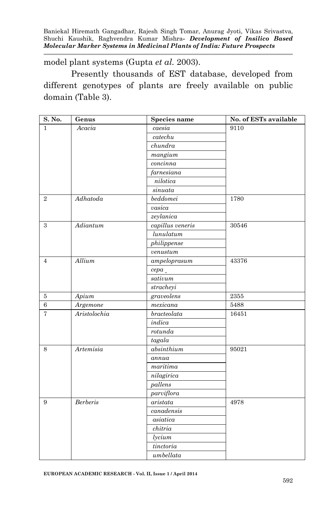model plant systems (Gupta *et al.* 2003).

Presently thousands of EST database, developed from different genotypes of plants are freely available on public domain (Table 3).

| S. No.         | Genus           | Species name              | No. of ESTs available |
|----------------|-----------------|---------------------------|-----------------------|
| $\mathbf{1}$   | Acacia          | caesia                    | 9110                  |
|                |                 | $\emph{catechu}$          |                       |
|                |                 | chundra                   |                       |
|                |                 | $m$ angium                |                       |
|                |                 | concinna                  |                       |
|                |                 | farnesiana                |                       |
|                |                 | nilotica                  |                       |
|                |                 | sinuata                   |                       |
| $\overline{2}$ | Adhatoda        | beddomei                  | 1780                  |
|                |                 | vasica                    |                       |
|                |                 | zeylanica                 |                       |
| 3              | A diantum       | capillus veneris          | $30546\,$             |
|                |                 | lunulatum                 |                       |
|                |                 | philippense               |                       |
|                |                 | venustum                  |                       |
| $\overline{4}$ | Allium          | $\overline{ampeloprasum}$ | 43376                 |
|                |                 | cepa                      |                       |
|                |                 | sati vum                  |                       |
|                |                 | stracheyi                 |                       |
| $\bf 5$        | Apium           | graveolens                | 2355                  |
| $\,6\,$        | Argemone        | mexicana                  | 5488                  |
| $\overline{7}$ | Aristolochia    | bracteola ta              | 16451                 |
|                |                 | indica                    |                       |
|                |                 | rotunda                   |                       |
|                |                 | tagala                    |                       |
| 8              | Artemisia       | absinthium                | 95021                 |
|                |                 | annua                     |                       |
|                |                 | $\overline{marti}$        |                       |
|                |                 | nilagirica                |                       |
|                |                 | pallens                   |                       |
|                |                 | parviflora                |                       |
| 9              | <b>Berberis</b> | aristata                  | 4978                  |
|                |                 | can adensis               |                       |
|                |                 | asiatica                  |                       |
|                |                 | chitria                   |                       |
|                |                 | lycium                    |                       |
|                |                 | tinctoria                 |                       |
|                |                 | umbellata                 |                       |

**EUROPEAN ACADEMIC RESEARCH - Vol. II, Issue 1 / April 2014**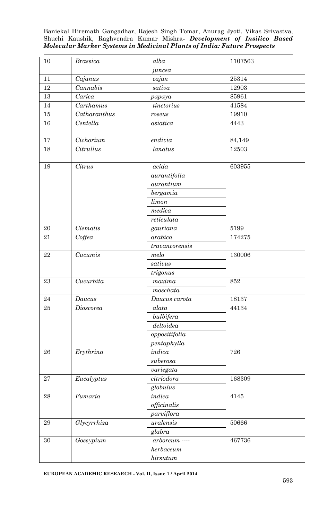| 10       | <b>Brassica</b>           | alba                        | 1107563 |
|----------|---------------------------|-----------------------------|---------|
|          |                           | juncea                      |         |
| 11       | Cajanus                   | cajan                       | 25314   |
| $12\,$   | Cannabis                  | sativa                      | 12903   |
| $13\,$   | Carica                    | papaya                      | 85961   |
| 14       | Carthamus                 | $t$ inctorius               | 41584   |
| $15\,$   | $\overline{Catharanthus}$ | roseus                      | 19910   |
| 16       | Centella                  | asiatica                    | 4443    |
| $17\,$   | Cichorium                 | $endivia$                   | 84,149  |
| 18       | Citrullus                 | lanatus                     | 12503   |
| 19       | Citrus                    | acida                       | 603955  |
|          |                           | aurantifolia                |         |
|          |                           | $\it auration$              |         |
|          |                           | berg a m i a                |         |
|          |                           | limon                       |         |
|          |                           | medica                      |         |
|          |                           | $reliculata$                |         |
| $20\,$   | Clematis                  | gauriana                    | 5199    |
| 21       | Coffea                    | arabica                     | 174275  |
|          |                           | travan corensis             |         |
| 22       | Cucumis                   | melo                        | 130006  |
|          |                           | sati vus                    |         |
|          |                           | trigonus                    |         |
| 23       | Cucurbita                 | maxima                      | 852     |
|          |                           | moschata                    |         |
| 24       | Daucus                    | $\overline{D}$ aucus carota | 18137   |
| 25       | Dioscorea                 | alata                       | 44134   |
|          |                           | bulbifera                   |         |
|          |                           | deltoidea                   |         |
|          |                           | oppositifolia               |         |
|          |                           | pentaphylla                 |         |
| 26       | Erythrina                 | indica                      | 726     |
|          |                           | suberosa                    |         |
|          |                           | variegata                   |         |
| 27       | Eucalyptus                | citriodora                  | 168309  |
|          |                           | globulus                    |         |
| $\bf 28$ | Fumaria                   | indica                      | 4145    |
|          |                           | officinalis                 |         |
|          |                           | parviflora                  |         |
| 29       | Glycyrrhiza               | uralensis                   | 50666   |
|          |                           | $\bar{g}$ labra             |         |
| 30       | Gossypium                 | $arboreum$ ----             | 467736  |
|          |                           | herbaceum                   |         |
|          |                           | hirsutum                    |         |
|          |                           |                             |         |

**EUROPEAN ACADEMIC RESEARCH - Vol. II, Issue 1 / April 2014**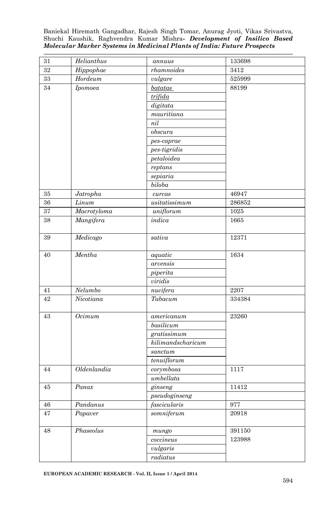| 31        | Helianthus  | annuus                          | 133698               |
|-----------|-------------|---------------------------------|----------------------|
| 32        | Hippophae   | $r$ hamnoides                   | 3412                 |
| $33\,$    | $H$ ordeum  | vulgare                         | 525999               |
| 34        | Ipomoea     | batatas                         | 88199                |
|           |             | trifida                         |                      |
|           |             | digitata                        |                      |
|           |             | mauritiana                      |                      |
|           |             | nil                             |                      |
|           |             | $\ensuremath{\textit{obscura}}$ |                      |
|           |             | pes-caprae                      |                      |
|           |             | pes-tigridis                    |                      |
|           |             | petaloidea                      |                      |
|           |             | reptans                         |                      |
|           |             | sepiaria                        |                      |
|           |             | biloba                          |                      |
| 35        | Jatropha    | curcas                          | 46947                |
| $36\,$    | Linum       | usitatis simum                  | 286852               |
| $\bf{37}$ | Macrotyloma | uniflorum                       | 1025                 |
| 38        | Mangifera   | indica                          | 1665                 |
|           |             |                                 |                      |
| 39        | Medicago    | sativa                          | 12371                |
| 40        | Mentha      | aquatic                         | 1634                 |
|           |             | arvensis                        |                      |
|           |             | piperita                        |                      |
|           |             | viridis                         |                      |
| 41        | Nelumbo     | nucifera                        | 2207                 |
| 42        | Nicotiana   | Tabacum                         | 334384               |
| 43        | Ocimum      | americanum                      | 23260                |
|           |             | $\overline{basilicum}$          |                      |
|           |             | gratissimum                     |                      |
|           |             | kilimandscharicum               |                      |
|           |             | sanctum                         |                      |
|           |             | tenuiflorum                     |                      |
| 44        | Oldenlandia | corymbosa                       | 1117                 |
|           |             | umbellata                       |                      |
| 45        | Panax       | ginseng                         | 11412                |
|           |             | pseudoginseng                   |                      |
| 46        | Pandanus    | fascicularis                    | 977                  |
| $47\,$    | Papaver     | somniferum                      | $\boldsymbol{20918}$ |
| $\rm 48$  | Phaseolus   | mungo                           | $391150\,$           |
|           |             |                                 | 123988               |
|           |             | coccineus                       |                      |
|           |             | vulgaris                        |                      |
|           |             | radiatus                        |                      |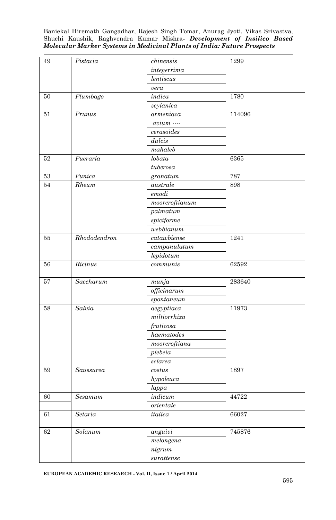| 49     | Pistacia        | chinensis                      | 1299   |  |
|--------|-----------------|--------------------------------|--------|--|
|        |                 | integerrima                    |        |  |
|        |                 | <i>lentiscus</i>               |        |  |
|        |                 | vera                           |        |  |
| 50     | Plumbago        | indica                         | 1780   |  |
|        |                 | zeylanica                      |        |  |
| 51     | Prunus          | $\it armeniaca$                | 114096 |  |
|        |                 | $avium$ $\cdots$               |        |  |
|        |                 | cerasoides                     |        |  |
|        |                 | dulcis                         |        |  |
|        |                 | mahaleb                        |        |  |
| 52     | Pueraria        | lobata                         | 6365   |  |
|        |                 | tuberosa                       |        |  |
| $53\,$ | Punica          | granatum                       | 787    |  |
| 54     | $R$ <i>heum</i> | australe                       | 898    |  |
|        |                 | $emodi$                        |        |  |
|        |                 | $moor$ croftianum              |        |  |
|        |                 | palmatum                       |        |  |
|        |                 | spiciforme                     |        |  |
|        |                 | webbianum                      |        |  |
| 55     | Rhododendron    | catawbiense                    | 1241   |  |
|        |                 | campanulatum                   |        |  |
|        |                 | lepidotum                      |        |  |
| 56     | Ricinus         | communis                       | 62592  |  |
|        |                 |                                |        |  |
| 57     | Saccharum       | $m$ unja                       | 283640 |  |
|        |                 | $of \ddot{\textit{ficinarum}}$ |        |  |
|        |                 | spontaneum                     |        |  |
| 58     | Salvia          | $a$ egyptiaca                  | 11973  |  |
|        |                 | milibrium                      |        |  |
|        |                 | fruticosa                      |        |  |
|        |                 | haematodes                     |        |  |
|        |                 | $moor$ croftiana               |        |  |
|        |                 | plebeia                        |        |  |
|        |                 | sclarea                        |        |  |
| 59     | Saussurea       | costus                         | 1897   |  |
|        |                 | hypoleuca                      |        |  |
|        |                 | lappa                          |        |  |
| 60     | Sesamum         | indicum                        | 44722  |  |
|        |                 | orientale                      |        |  |
| 61     | Setaria         | italica                        | 66027  |  |
| $62\,$ | Solanum         | anguivi                        | 745876 |  |
|        |                 | melongena                      |        |  |
|        |                 | nigrum                         |        |  |
|        |                 | $\> surface$                   |        |  |

**EUROPEAN ACADEMIC RESEARCH - Vol. II, Issue 1 / April 2014**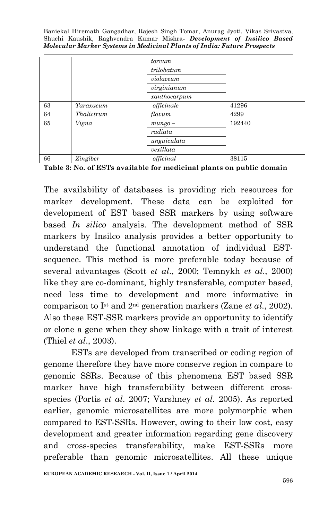|    |            | torvum       |        |  |
|----|------------|--------------|--------|--|
|    |            | trilobatum   |        |  |
|    |            | violaceum    |        |  |
|    |            | virginianum  |        |  |
|    |            | xanthocarpum |        |  |
| 63 | Taraxacum  | officinale   | 41296  |  |
| 64 | Thalictrum | flavum       | 4299   |  |
| 65 | Vigna      | $mungo -$    | 192440 |  |
|    |            | radiata      |        |  |
|    |            | unguiculata  |        |  |
|    |            | vexillata    |        |  |
| 66 | Zingiber   | officinal    | 38115  |  |

**Table 3: No. of ESTs available for medicinal plants on public domain**

The availability of databases is providing rich resources for marker development. These data can be exploited for development of EST based SSR markers by using software based *In silico* analysis. The development method of SSR markers by Insilco analysis provides a better opportunity to understand the functional annotation of individual ESTsequence. This method is more preferable today because of several advantages (Scott *et al*., 2000; Temnykh *et al*., 2000) like they are co-dominant, highly transferable, computer based, need less time to development and more informative in comparison to Ist and 2nd generation markers (Zane *et al*., 2002). Also these EST-SSR markers provide an opportunity to identify or clone a gene when they show linkage with a trait of interest (Thiel *et al*., 2003).

ESTs are developed from transcribed or coding region of genome therefore they have more conserve region in compare to genomic SSRs. Because of this phenomena EST based SSR marker have high transferability between different crossspecies (Portis *et al*. 2007; Varshney *et al.* 2005). As reported earlier, genomic microsatellites are more polymorphic when compared to EST-SSRs. However, owing to their low cost, easy development and greater information regarding gene discovery and cross-species transferability, make EST-SSRs more preferable than genomic microsatellites. All these unique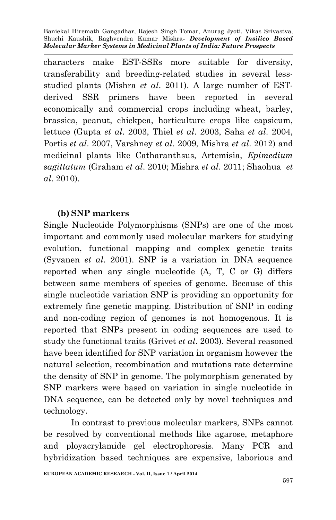characters make EST-SSRs more suitable for diversity, transferability and breeding-related studies in several lessstudied plants (Mishra *et al*. 2011). A large number of ESTderived SSR primers have been reported in several economically and commercial crops including wheat, barley, brassica, peanut, chickpea, horticulture crops like capsicum, lettuce (Gupta *et al*. 2003, Thiel *et al*. 2003, Saha *et al*. 2004, Portis *et al*. 2007, Varshney *et al*. 2009, Mishra *et al*. 2012) and medicinal plants like Catharanthsus, Artemisia, *Epimedium sagittatum* (Graham *et al*. 2010; Mishra *et al*. 2011; Shaohua *et al*. 2010).

### **(b) SNP markers**

Single Nucleotide Polymorphisms (SNPs) are one of the most important and commonly used molecular markers for studying evolution, functional mapping and complex genetic traits (Syvanen *et al*. 2001). SNP is a variation in DNA sequence reported when any single nucleotide (A, T, C or G) differs between same members of species of genome. Because of this single nucleotide variation SNP is providing an opportunity for extremely fine genetic mapping. Distribution of SNP in coding and non-coding region of genomes is not homogenous. It is reported that SNPs present in coding sequences are used to study the functional traits (Grivet *et al*. 2003). Several reasoned have been identified for SNP variation in organism however the natural selection, recombination and mutations rate determine the density of SNP in genome. The polymorphism generated by SNP markers were based on variation in single nucleotide in DNA sequence, can be detected only by novel techniques and technology.

In contrast to previous molecular markers, SNPs cannot be resolved by conventional methods like agarose, metaphore and ployacrylamide gel electrophoresis. Many PCR and hybridization based techniques are expensive, laborious and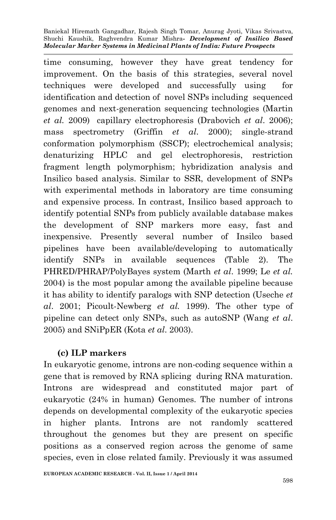time consuming, however they have great tendency for improvement. On the basis of this strategies, several novel techniques were developed and successfully using for identification and detection of novel SNPs including sequenced genomes and next-generation sequencing technologies (Martin *et al.* 2009) capillary electrophoresis (Drabovich *et al*. 2006); mass spectrometry (Griffin *et al*. 2000); single-strand conformation polymorphism (SSCP); electrochemical analysis; denaturizing HPLC and gel electrophoresis, restriction fragment length polymorphism; hybridization analysis and Insilico based analysis. Similar to SSR, development of SNPs with experimental methods in laboratory are time consuming and expensive process. In contrast, Insilico based approach to identify potential SNPs from publicly available database makes the development of SNP markers more easy, fast and inexpensive. Presently several number of Insilco based pipelines have been available/developing to automatically identify SNPs in available sequences (Table 2). The PHRED/PHRAP/PolyBayes system (Marth *et al*. 1999; Le *et al.* 2004) is the most popular among the available pipeline because it has ability to identify paralogs with SNP detection (Useche *et al*. 2001; Picoult-Newberg *et al.* 1999). The other type of pipeline can detect only SNPs, such as autoSNP (Wang *et al*. 2005) and SNiPpER (Kota *et al*. 2003).

# **(c) ILP markers**

In eukaryotic genome, introns are non-coding sequence within a gene that is removed by RNA splicing during RNA maturation. Introns are widespread and constituted major part of eukaryotic (24% in human) Genomes. The number of introns depends on developmental complexity of the eukaryotic species in higher plants. Introns are not randomly scattered throughout the genomes but they are present on specific positions as a conserved region across the genome of same species, even in close related family. Previously it was assumed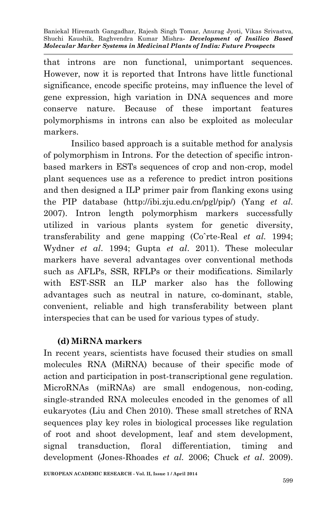that introns are non functional, unimportant sequences. However, now it is reported that Introns have little functional significance, encode specific proteins, may influence the level of gene expression, high variation in DNA sequences and more conserve nature. Because of these important features polymorphisms in introns can also be exploited as molecular markers.

Insilico based approach is a suitable method for analysis of polymorphism in Introns. For the detection of specific intronbased markers in ESTs sequences of crop and non-crop, model plant sequences use as a reference to predict intron positions and then designed a ILP primer pair from flanking exons using the PIP database (http://ibi.zju.edu.cn/pgl/pip/) (Yang *et al*. 2007). Intron length polymorphism markers successfully utilized in various plants system for genetic diversity, transferability and gene mapping (Coˆrte-Real *et al.* 1994; Wydner *et al*. 1994; Gupta *et al*. 2011). These molecular markers have several advantages over conventional methods such as AFLPs, SSR, RFLPs or their modifications. Similarly with EST-SSR an ILP marker also has the following advantages such as neutral in nature, co-dominant, stable, convenient, reliable and high transferability between plant interspecies that can be used for various types of study.

### **(d) MiRNA markers**

In recent years, scientists have focused their studies on small molecules RNA (MiRNA) because of their specific mode of action and participation in post-transcriptional gene regulation. MicroRNAs (miRNAs) are small endogenous, non-coding, single-stranded RNA molecules encoded in the genomes of all eukaryotes (Liu and Chen 2010). These small stretches of RNA sequences play key roles in biological processes like regulation of root and shoot development, leaf and stem development, signal transduction, floral differentiation, timing and development (Jones-Rhoades *et al.* 2006; Chuck *et al*. 2009).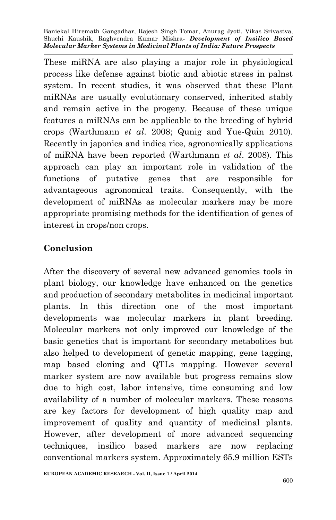These miRNA are also playing a major role in physiological process like defense against biotic and abiotic stress in palnst system. In recent studies, it was observed that these Plant miRNAs are usually evolutionary conserved, inherited stably and remain active in the progeny. Because of these unique features a miRNAs can be applicable to the breeding of hybrid crops (Warthmann *et al*. 2008; Qunig and Yue-Quin 2010). Recently in japonica and indica rice, agronomically applications of miRNA have been reported (Warthmann *et al*. 2008). This approach can play an important role in validation of the functions of putative genes that are responsible for advantageous agronomical traits. Consequently, with the development of miRNAs as molecular markers may be more appropriate promising methods for the identification of genes of interest in crops/non crops.

### **Conclusion**

After the discovery of several new advanced genomics tools in plant biology, our knowledge have enhanced on the genetics and production of secondary metabolites in medicinal important plants. In this direction one of the most important developments was molecular markers in plant breeding. Molecular markers not only improved our knowledge of the basic genetics that is important for secondary metabolites but also helped to development of genetic mapping, gene tagging, map based cloning and QTLs mapping. However several marker system are now available but progress remains slow due to high cost, labor intensive, time consuming and low availability of a number of molecular markers. These reasons are key factors for development of high quality map and improvement of quality and quantity of medicinal plants. However, after development of more advanced sequencing techniques, insilico based markers are now replacing conventional markers system. Approximately 65.9 million ESTs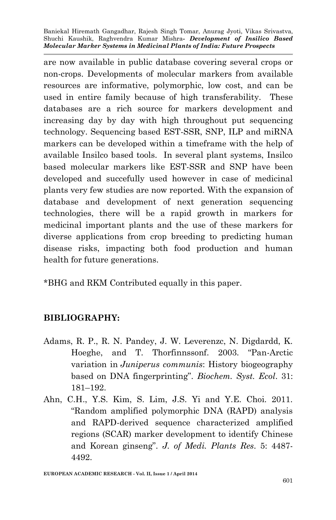are now available in public database covering several crops or non-crops. Developments of molecular markers from available resources are informative, polymorphic, low cost, and can be used in entire family because of high transferability. These databases are a rich source for markers development and increasing day by day with high throughout put sequencing technology. Sequencing based EST-SSR, SNP, ILP and miRNA markers can be developed within a timeframe with the help of available Insilco based tools. In several plant systems, Insilco based molecular markers like EST-SSR and SNP have been developed and succefully used however in case of medicinal plants very few studies are now reported. With the expansion of database and development of next generation sequencing technologies, there will be a rapid growth in markers for medicinal important plants and the use of these markers for diverse applications from crop breeding to predicting human disease risks, impacting both food production and human health for future generations.

\*BHG and RKM Contributed equally in this paper.

# **BIBLIOGRAPHY:**

- Adams, R. P., R. N. Pandey, J. W. Leverenzc, N. Digdardd, K. Hoeghe, and T. Thorfinnssonf. 2003. "Pan-Arctic variation in *Juniperus communis*: History biogeography based on DNA fingerprinting". *Biochem. Syst. Ecol*. 31: 181–192.
- Ahn, C.H., Y.S. Kim, S. Lim, J.S. Yi and Y.E. Choi. 2011. "Random amplified polymorphic DNA (RAPD) analysis and RAPD-derived sequence characterized amplified regions (SCAR) marker development to identify Chinese and Korean ginseng". *J. of Medi. Plants Res*. 5: 4487- 4492.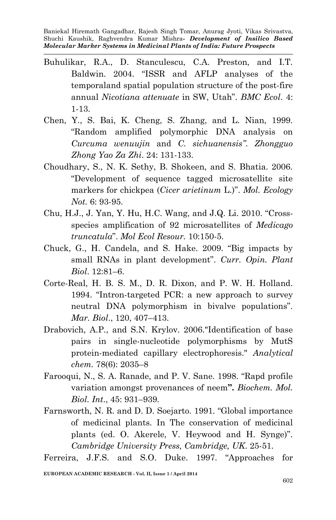- Buhulikar, R.A., D. Stanculescu, C.A. Preston, and I.T. Baldwin. 2004. "ISSR and AFLP analyses of the temporaland spatial population structure of the post-fire annual *Nicotiana attenuate* in SW, Utah". *BMC Ecol*. 4: 1-13.
- Chen, Y., S. Bai, K. Cheng, S. Zhang, and L. Nian, 1999. "Random amplified polymorphic DNA analysis on *Curcuma wenuujin* and *C. sichuanensis"*. *Zhongguo Zhong Yao Za Zhi*. 24: 131-133.
- Choudhary, S., N. K. Sethy, B. Shokeen, and S. Bhatia. 2006. "Development of sequence tagged microsatellite site markers for chickpea (*Cicer arietinum* L.)". *Mol. Ecology Not.* 6: 93-95.
- Chu, H.J., J. Yan, Y. Hu, H.C. Wang, and J.Q. Li. 2010. "Crossspecies amplification of 92 microsatellites of *Medicago truncatula*". *Mol Ecol Resour.* 10:150-5.
- Chuck, G., H. Candela, and S. Hake. 2009. "Big impacts by small RNAs in plant development". *Curr. Opin. Plant Biol*. 12:81–6.
- Corte-Real, H. B. S. M., D. R. Dixon, and P. W. H. Holland. 1994. "Intron-targeted PCR: a new approach to survey neutral DNA polymorphism in bivalve populations". *Mar. Biol*., 120, 407–413.
- Drabovich, A.P., and S.N. Krylov. 2006."Identification of base pairs in single-nucleotide polymorphisms by MutS protein-mediated capillary electrophoresis." *Analytical chem.* 78(6): 2035–8
- Farooqui, N., S. A. Ranade, and P. V. Sane. 1998. "Rapd profile variation amongst provenances of neem**".** *Biochem. Mol. Biol. Int*., 45: 931–939.
- Farnsworth, N. R. and D. D. Soejarto. 1991. "Global importance of medicinal plants. In The conservation of medicinal plants (ed. O. Akerele, V. Heywood and H. Synge)". *Cambridge University Press, Cambridge, UK*. 25-51.

Ferreira, J.F.S. and S.O. Duke. 1997. "Approaches for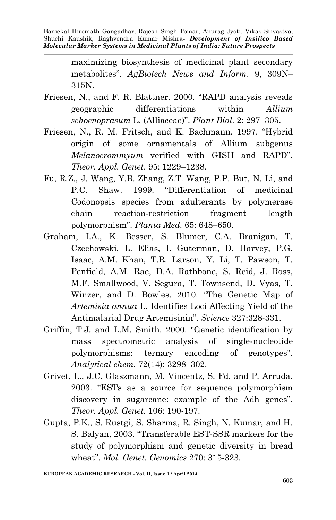> maximizing biosynthesis of medicinal plant secondary metabolites". *AgBiotech News and Inform*. 9, 309N– 315N.

- Friesen, N., and F. R. Blattner. 2000. "RAPD analysis reveals geographic differentiations within *Allium schoenoprasum* L. (Alliaceae)". *Plant Biol*. 2: 297–305.
- Friesen, N., R. M. Fritsch, and K. Bachmann. 1997. "Hybrid origin of some ornamentals of Allium subgenus *Melanocrommyum* verified with GISH and RAPD". *Theor. Appl. Genet*. 95: 1229–1238.
- Fu, R.Z., J. Wang, Y.B. Zhang, Z.T. Wang, P.P. But, N. Li, and P.C. Shaw. 1999. "Differentiation of medicinal Codonopsis species from adulterants by polymerase chain reaction-restriction fragment length polymorphism". *Planta Med.* 65: 648–650.
- Graham, I.A., K. Besser, S. Blumer, C.A. Branigan, T. Czechowski, L. Elias, I. Guterman, D. Harvey, P.G. Isaac, A.M. Khan, T.R. Larson, Y. Li, T. Pawson, T. Penfield, A.M. Rae, D.A. Rathbone, S. Reid, J. Ross, M.F. Smallwood, V. Segura, T. Townsend, D. Vyas, T. Winzer, and D. Bowles. 2010. "The Genetic Map of *Artemisia annua* L. Identifies Loci Affecting Yield of the Antimalarial Drug Artemisinin". *Science* 327:328-331.
- Griffin, T.J. and L.M. Smith. 2000. "Genetic identification by mass spectrometric analysis of single-nucleotide polymorphisms: ternary encoding of genotypes". *Analytical chem.* 72(14): 3298–302.
- Grivet, L., J.C. Glaszmann, M. Vincentz, S. Fd, and P. Arruda. 2003. "ESTs as a source for sequence polymorphism discovery in sugarcane: example of the Adh genes". *Theor. Appl. Genet.* 106: 190-197.
- Gupta, P.K., S. Rustgi, S. Sharma, R. Singh, N. Kumar, and H. S. Balyan, 2003. "Transferable EST-SSR markers for the study of polymorphism and genetic diversity in bread wheat". *Mol. Genet. Genomics* 270: 315-323.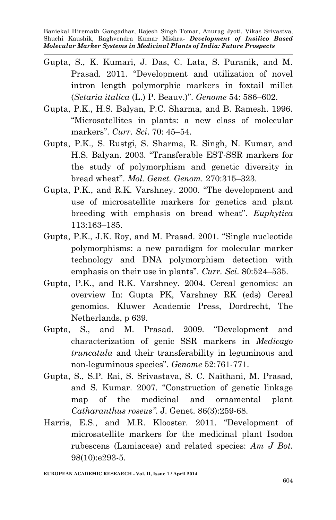- Gupta, S., K. Kumari, J. Das, C. Lata, S. Puranik, and M. Prasad. 2011. "Development and utilization of novel intron length polymorphic markers in foxtail millet (*Setaria italica* (L.) P. Beauv.)". *Genome* 54: 586–602.
- Gupta, P.K., H.S. Balyan, P.C. Sharma, and B. Ramesh. 1996. "Microsatellites in plants: a new class of molecular markers". *Curr. Sci*. 70: 45–54.
- Gupta, P.K., S. Rustgi, S. Sharma, R. Singh, N. Kumar, and H.S. Balyan. 2003. "Transferable EST-SSR markers for the study of polymorphism and genetic diversity in bread wheat". *Mol. Genet. Genom.* 270:315–323.
- Gupta, P.K., and R.K. Varshney. 2000. "The development and use of microsatellite markers for genetics and plant breeding with emphasis on bread wheat". *Euphytica*  113:163–185.
- Gupta, P.K., J.K. Roy, and M. Prasad. 2001. "Single nucleotide polymorphisms: a new paradigm for molecular marker technology and DNA polymorphism detection with emphasis on their use in plants". *Curr. Sci*. 80:524–535.
- Gupta, P.K., and R.K. Varshney. 2004. Cereal genomics: an overview In: Gupta PK, Varshney RK (eds) Cereal genomics. Kluwer Academic Press, Dordrecht, The Netherlands, p 639.
- Gupta, S., and M. Prasad. 2009. "Development and characterization of genic SSR markers in *Medicago truncatula* and their transferability in leguminous and non-leguminous species". *Genome* 52:761-771.
- Gupta, S., S.P. Rai, S. Srivastava, S. C. Naithani, M. Prasad, and S. Kumar. 2007. "Construction of genetic linkage map of the medicinal and ornamental plant *Catharanthus roseus"*. J. Genet. 86(3):259-68.
- Harris, E.S., and M.R. Klooster. 2011. "Development of microsatellite markers for the medicinal plant Isodon rubescens (Lamiaceae) and related species: *Am J Bot.* 98(10):e293-5.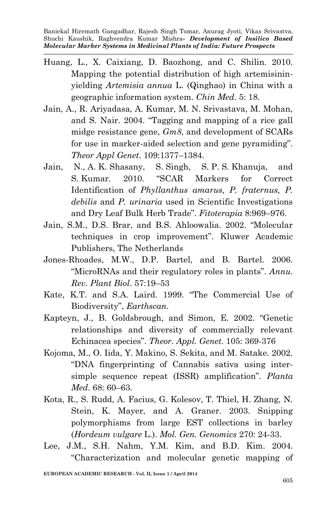- Huang, L., X. Caixiang, D. Baozhong, and C. Shilin. 2010. Mapping the potential distribution of high artemisininyielding *Artemisia annua* L. (Qinghao) in China with a geographic information system. *Chin Med*. 5: 18.
- Jain, A., R. Ariyadasa, A. Kumar, M. N. Srivastava, M. Mohan, and S. Nair. 2004. "Tagging and mapping of a rice gall midge resistance gene, *Gm8*, and development of SCARs for use in marker-aided selection and gene pyramiding". *Theor Appl Genet*. 109:1377–1384.
- Jain, N., A. K. Shasany, S. Singh, S. P. S. Khanuja, and S. Kumar. 2010. "SCAR Markers for Correct Identification of *Phyllanthus amarus, P. fraternus, P. debilis* and *P. urinaria* used in Scientific Investigations and Dry Leaf Bulk Herb Trade". *Fitoterapia* 8:969–976.
- Jain, S.M., D.S. Brar, and B.S. Ahloowalia. 2002. "Molecular techniques in crop improvement". Kluwer Academic Publishers, The Netherlands
- Jones-Rhoades, M.W., D.P. Bartel, and B. Bartel. 2006. "MicroRNAs and their regulatory roles in plants". *Annu. Rev. Plant Biol*. 57:19–53
- Kate, K.T. and S.A. Laird. 1999. "The Commercial Use of Biodiversity", *Earthscan*.
- Kapteyn, J., B. Goldsbrough, and Simon, E. 2002. "Genetic relationships and diversity of commercially relevant Echinacea species". *Theor. Appl. Genet*. 105: 369-376
- Kojoma, M., O. Iida, Y. Makino, S. Sekita, and M. Satake. 2002. "DNA fingerprinting of Cannabis sativa using intersimple sequence repeat (ISSR) amplification". *Planta Med.* 68: 60–63.
- Kota, R., S. Rudd, A. Facius, G. Kolesov, T. Thiel, H. Zhang, N. Stein, K. Mayer, and A. Graner. 2003. Snipping polymorphisms from large EST collections in barley (*Hordeum vulgare* L.). *Mol. Gen. Genomics* 270: 24-33.
- Lee, J.M., S.H. Nahm, Y.M. Kim, and B.D. Kim. 2004. "Characterization and molecular genetic mapping of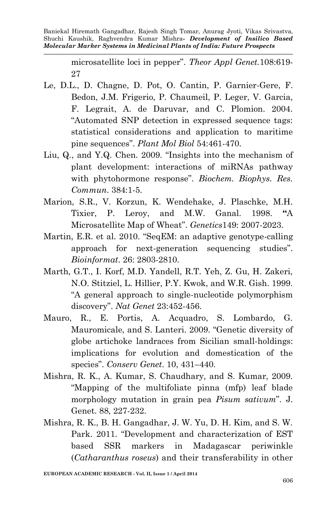> microsatellite loci in pepper". *Theor Appl Genet.*108:619- 27

- Le, D.L., D. Chagne, D. Pot, O. Cantin, P. Garnier-Gere, F. Bedon, J.M. Frigerio, P. Chaumeil, P. Leger, V. Garcia, F. Legrait, A. de Daruvar, and C. Plomion. 2004. "Automated SNP detection in expressed sequence tags: statistical considerations and application to maritime pine sequences". *Plant Mol Biol* 54:461-470.
- Liu, Q., and Y.Q. Chen. 2009. "Insights into the mechanism of plant development: interactions of miRNAs pathway with phytohormone response". *Biochem. Biophys. Res. Commun*. 384:1-5.
- Marion, S.R., V. Korzun, K. Wendehake, J. Plaschke, M.H. Tixier, P. Leroy, and M.W. Ganal. 1998. **"**A Microsatellite Map of Wheat". *Genetics*149: 2007-2023.
- Martin, E.R. et al. 2010. "SeqEM: an adaptive genotype-calling approach for next-generation sequencing studies". *Bioinformat*. 26: 2803-2810.
- Marth, G.T., I. Korf, M.D. Yandell, R.T. Yeh, Z. Gu, H. Zakeri, N.O. Stitziel, L. Hillier, P.Y. Kwok, and W.R. Gish. 1999. "A general approach to single-nucleotide polymorphism discovery". *Nat Genet* 23:452-456.
- Mauro, R., E. Portis, A. Acquadro, S. Lombardo, G. Mauromicale, and S. Lanteri. 2009. "Genetic diversity of globe artichoke landraces from Sicilian small-holdings: implications for evolution and domestication of the species". *Conserv Genet*. 10, 431–440.
- Mishra, R. K., A. Kumar, S. Chaudhary, and S. Kumar, 2009. "Mapping of the multifoliate pinna (mfp) leaf blade morphology mutation in grain pea *Pisum sativum*". J. Genet. 88, 227-232.
- Mishra, R. K., B. H. Gangadhar, J. W. Yu, D. H. Kim, and S. W. Park. 2011. "Development and characterization of EST based SSR markers in Madagascar periwinkle (*Catharanthus roseus*) and their transferability in other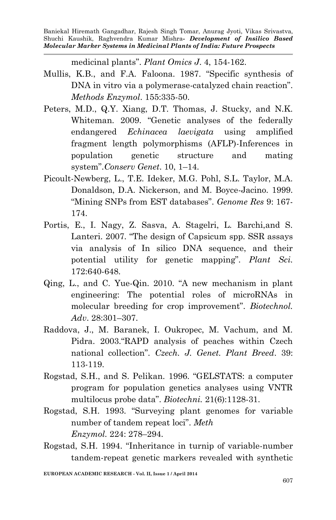medicinal plants". *Plant Omics J*. 4, 154-162.

- Mullis, K.B., and F.A. Faloona. 1987. "Specific synthesis of DNA in vitro via a polymerase-catalyzed chain reaction". *Methods Enzymol*. 155:335-50.
- Peters, M.D., Q.Y. Xiang, D.T. Thomas, J. Stucky, and N.K. Whiteman. 2009. "Genetic analyses of the federally endangered *Echinacea laevigata* using amplified fragment length polymorphisms (AFLP)-Inferences in population genetic structure and mating system".*Conserv Genet*. 10, 1–14.
- Picoult-Newberg, L., T.E. Ideker, M.G. Pohl, S.L. Taylor, M.A. Donaldson, D.A. Nickerson, and M. Boyce-Jacino. 1999. "Mining SNPs from EST databases". *Genome Res* 9: 167- 174.
- Portis, E., I. Nagy, Z. Sasva, A. Stagelri, L. Barchi,and S. Lanteri. 2007. "The design of Capsicum spp. SSR assays via analysis of In silico DNA sequence, and their potential utility for genetic mapping". *Plant Sci.* 172:640-648.
- Qing, L., and C. Yue-Qin. 2010. "A new mechanism in plant engineering: The potential roles of microRNAs in molecular breeding for crop improvement". *Biotechnol. Adv*. 28:301–307.
- Raddova, J., M. Baranek, I. Oukropec, M. Vachum, and M. Pidra. 2003."RAPD analysis of peaches within Czech national collection". *Czech. J. Genet. Plant Breed*. 39: 113-119.
- Rogstad, S.H., and S. Pelikan. 1996. "GELSTATS: a computer program for population genetics analyses using VNTR multilocus probe data". *Biotechni.* 21(6):1128-31.
- Rogstad, S.H. 1993. "Surveying plant genomes for variable number of tandem repeat loci". *Meth Enzymol.* 224: 278–294.
- Rogstad, S.H. 1994. "Inheritance in turnip of variable-number tandem-repeat genetic markers revealed with synthetic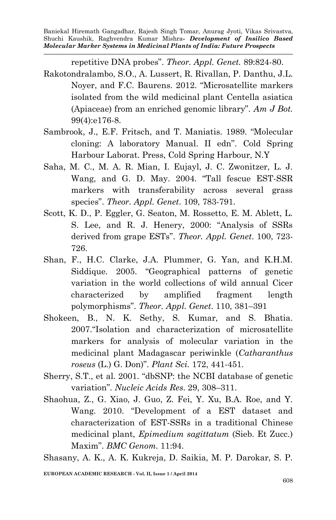repetitive DNA probes". *Theor. Appl. Genet.* 89:824-80.

- Rakotondralambo, S.O., A. Lussert, R. Rivallan, P. Danthu, J.L. Noyer, and F.C. Baurens. 2012. "Microsatellite markers isolated from the wild medicinal plant Centella asiatica (Apiaceae) from an enriched genomic library". *Am J Bot.* 99(4):e176-8.
- Sambrook, J., E.F. Fritsch, and T. Maniatis. 1989. "Molecular cloning: A laboratory Manual. II edn". Cold Spring Harbour Laborat. Press, Cold Spring Harbour, N.Y
- Saha, M. C., M. A. R. Mian, I. Eujayl, J. C. Zwonitzer, L. J. Wang, and G. D. May. 2004. "Tall fescue EST-SSR markers with transferability across several grass species". *Theor. Appl. Genet*. 109, 783-791.
- Scott, K. D., P. Eggler, G. Seaton, M. Rossetto, E. M. Ablett, L. S. Lee, and R. J. Henery, 2000: "Analysis of SSRs derived from grape ESTs". *Theor. Appl. Genet*. 100, 723- 726.
- Shan, F., H.C. Clarke, J.A. Plummer, G. Yan, and K.H.M. Siddique. 2005. "Geographical patterns of genetic variation in the world collections of wild annual Cicer characterized by amplified fragment length polymorphisms". *Theor. Appl. Genet*. 110, 381–391
- Shokeen, B., N. K. Sethy, S. Kumar, and S. Bhatia. 2007."Isolation and characterization of microsatellite markers for analysis of molecular variation in the medicinal plant Madagascar periwinkle (*Catharanthus roseus* (L.) G. Don)". *Plant Sci.* 172, 441-451.
- Sherry, S.T., et al. 2001. "dbSNP: the NCBI database of genetic variation". *Nucleic Acids Res*. 29, 308–311.
- Shaohua, Z., G. Xiao, J. Guo, Z. Fei, Y. Xu, B.A. Roe, and Y. Wang. 2010. "Development of a EST dataset and characterization of EST-SSRs in a traditional Chinese medicinal plant, *Epimedium sagittatum* (Sieb. Et Zucc.) Maxim". *BMC Genom.* 11:94.

Shasany, A. K., A. K. Kukreja, D. Saikia, M. P. Darokar, S. P.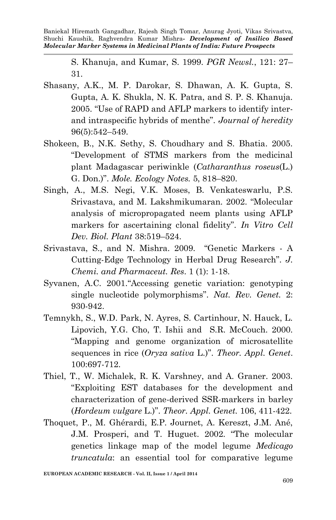> S. Khanuja, and Kumar, S. 1999. *PGR Newsl.*, 121: 27– 31.

- Shasany, A.K., M. P. Darokar, S. Dhawan, A. K. Gupta, S. Gupta, A. K. Shukla, N. K. Patra, and S. P. S. Khanuja. 2005. "Use of RAPD and AFLP markers to identify interand intraspecific hybrids of menthe". *Journal of heredity* 96(5):542–549.
- Shokeen, B., N.K. Sethy, S. Choudhary and S. Bhatia. 2005. "Development of STMS markers from the medicinal plant Madagascar periwinkle (*Catharanthus roseus*(L.) G. Don.)". *Mole. Ecology Notes.* 5, 818–820.
- Singh, A., M.S. Negi, V.K. Moses, B. Venkateswarlu, P.S. Srivastava, and M. Lakshmikumaran. 2002. "Molecular analysis of micropropagated neem plants using AFLP markers for ascertaining clonal fidelity". *In Vitro Cell Dev. Biol. Plant* 38:519–524.
- Srivastava, S., and N. Mishra. 2009. "Genetic Markers A Cutting-Edge Technology in Herbal Drug Research". *J. Chemi. and Pharmaceut. Res*. 1 (1): 1-18.
- Syvanen, A.C. 2001."Accessing genetic variation: genotyping single nucleotide polymorphisms". *Nat. Rev. Genet.* 2: 930-942.
- Temnykh, S., W.D. Park, N. Ayres, S. Cartinhour, N. Hauck, L. Lipovich, Y.G. Cho, T. Ishii and S.R. McCouch. 2000. "Mapping and genome organization of microsatellite sequences in rice (*Oryza sativa* L.)". *Theor. Appl. Genet*. 100:697-712.
- Thiel, T., W. Michalek, R. K. Varshney, and A. Graner. 2003. "Exploiting EST databases for the development and characterization of gene-derived SSR-markers in barley (*Hordeum vulgare* L.)". *Theor. Appl. Genet.* 106, 411-422.
- Thoquet, P., M. Ghérardi, E.P. Journet, A. Kereszt, J.M. Ané, J.M. Prosperi, and T. Huguet. 2002. "The molecular genetics linkage map of the model legume *Medicago truncatula*: an essential tool for comparative legume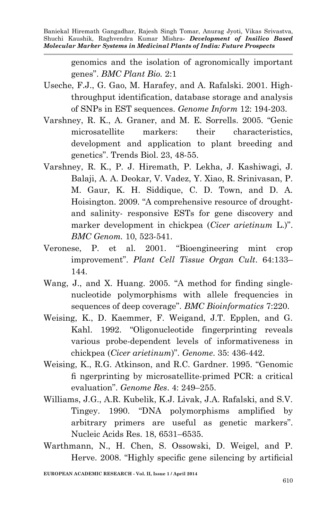> genomics and the isolation of agronomically important genes". *BMC Plant Bio.* 2:1

- Useche, F.J., G. Gao, M. Harafey, and A. Rafalski. 2001. Highthroughput identification, database storage and analysis of SNPs in EST sequences. *Genome Inform* 12: 194-203.
- Varshney, R. K., A. Graner, and M. E. Sorrells. 2005. "Genic microsatellite markers: their characteristics, development and application to plant breeding and genetics". Trends Biol. 23, 48-55.
- Varshney, R. K., P. J. Hiremath, P. Lekha, J. Kashiwagi, J. Balaji, A. A. Deokar, V. Vadez, Y. Xiao, R. Srinivasan, P. M. Gaur, K. H. Siddique, C. D. Town, and D. A. Hoisington. 2009. "A comprehensive resource of droughtand salinity- responsive ESTs for gene discovery and marker development in chickpea (*Cicer arietinum* L.)". *BMC Genom.* 10, 523-541.
- Veronese, P. et al. 2001. "Bioengineering mint crop improvement". *Plant Cell Tissue Organ Cult*. 64:133– 144.
- Wang, J., and X. Huang. 2005. "A method for finding singlenucleotide polymorphisms with allele frequencies in sequences of deep coverage". *BMC Bioinformatics* 7:220.
- Weising, K., D. Kaemmer, F. Weigand, J.T. Epplen, and G. Kahl. 1992. "Oligonucleotide fingerprinting reveals various probe-dependent levels of informativeness in chickpea (*Cicer arietinum*)". *Genome*. 35: 436-442.
- Weising, K., R.G. Atkinson, and R.C. Gardner. 1995. "Genomic fi ngerprinting by microsatellite-primed PCR: a critical evaluation". *Genome Res*. 4: 249–255.
- Williams, J.G., A.R. Kubelik, K.J. Livak, J.A. Rafalski, and S.V. Tingey. 1990. "DNA polymorphisms amplified by arbitrary primers are useful as genetic markers". Nucleic Acids Res. 18, 6531–6535.
- Warthmann, N., H. Chen, S. Ossowski, D. Weigel, and P. Herve. 2008. "Highly specific gene silencing by artificial